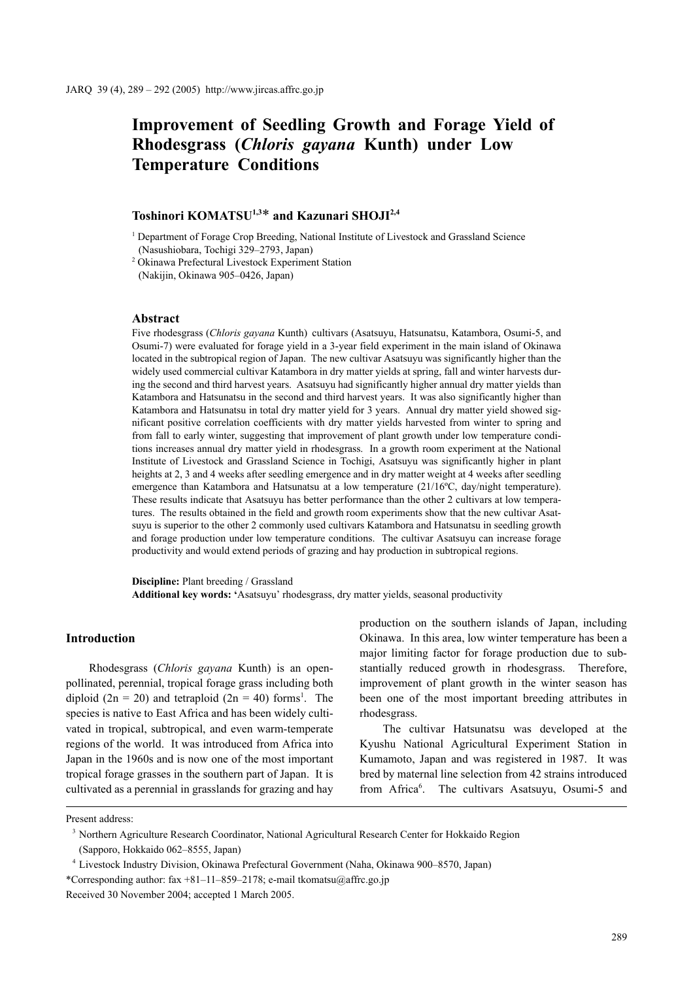# **Improvement of Seedling Growth and Forage Yield of Rhodesgrass (***Chloris gayana* **Kunth) under Low Temperature Conditions**

## **Toshinori KOMATSU1,3**\* **and Kazunari SHOJI2,4**

<sup>1</sup> Department of Forage Crop Breeding, National Institute of Livestock and Grassland Science (Nasushiobara, Tochigi 329–2793, Japan)

2 Okinawa Prefectural Livestock Experiment Station (Nakijin, Okinawa 905–0426, Japan)

#### **Abstract**

Five rhodesgrass (*Chloris gayana* Kunth) cultivars (Asatsuyu, Hatsunatsu, Katambora, Osumi-5, and Osumi-7) were evaluated for forage yield in a 3-year field experiment in the main island of Okinawa located in the subtropical region of Japan. The new cultivar Asatsuyu was significantly higher than the widely used commercial cultivar Katambora in dry matter yields at spring, fall and winter harvests during the second and third harvest years. Asatsuyu had significantly higher annual dry matter yields than Katambora and Hatsunatsu in the second and third harvest years. It was also significantly higher than Katambora and Hatsunatsu in total dry matter yield for 3 years. Annual dry matter yield showed significant positive correlation coefficients with dry matter yields harvested from winter to spring and from fall to early winter, suggesting that improvement of plant growth under low temperature conditions increases annual dry matter yield in rhodesgrass. In a growth room experiment at the National Institute of Livestock and Grassland Science in Tochigi, Asatsuyu was significantly higher in plant heights at 2, 3 and 4 weeks after seedling emergence and in dry matter weight at 4 weeks after seedling emergence than Katambora and Hatsunatsu at a low temperature (21/16<sup>o</sup>C, day/night temperature). These results indicate that Asatsuyu has better performance than the other 2 cultivars at low temperatures. The results obtained in the field and growth room experiments show that the new cultivar Asatsuyu is superior to the other 2 commonly used cultivars Katambora and Hatsunatsu in seedling growth and forage production under low temperature conditions. The cultivar Asatsuyu can increase forage productivity and would extend periods of grazing and hay production in subtropical regions.

**Discipline:** Plant breeding / Grassland **Additional key words: '**Asatsuyu' rhodesgrass, dry matter yields, seasonal productivity

## **Introduction**

Rhodesgrass (*Chloris gayana* Kunth) is an openpollinated, perennial, tropical forage grass including both diploid (2n = 20) and tetraploid (2n = 40) forms<sup>1</sup>. The species is native to East Africa and has been widely cultivated in tropical, subtropical, and even warm-temperate regions of the world. It was introduced from Africa into Japan in the 1960s and is now one of the most important tropical forage grasses in the southern part of Japan. It is cultivated as a perennial in grasslands for grazing and hay production on the southern islands of Japan, including Okinawa. In this area, low winter temperature has been a major limiting factor for forage production due to substantially reduced growth in rhodesgrass. Therefore, improvement of plant growth in the winter season has been one of the most important breeding attributes in rhodesgrass.

The cultivar Hatsunatsu was developed at the Kyushu National Agricultural Experiment Station in Kumamoto, Japan and was registered in 1987. It was bred by maternal line selection from 42 strains introduced from Africa<sup>6</sup>. The cultivars Asatsuyu, Osumi-5 and

Present address:

<sup>3</sup> Northern Agriculture Research Coordinator, National Agricultural Research Center for Hokkaido Region (Sapporo, Hokkaido 062–8555, Japan)

<sup>4</sup> Livestock Industry Division, Okinawa Prefectural Government (Naha, Okinawa 900–8570, Japan) \*Corresponding author: fax +81–11–859–2178; e-mail tkomatsu@affrc.go.jp

Received 30 November 2004; accepted 1 March 2005.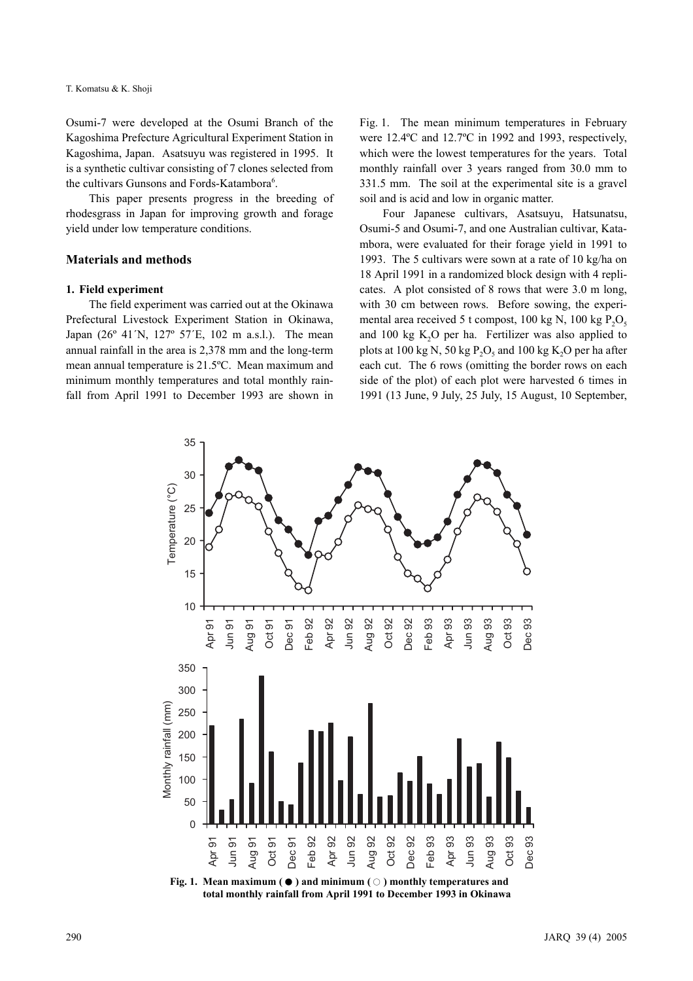Osumi-7 were developed at the Osumi Branch of the Kagoshima Prefecture Agricultural Experiment Station in Kagoshima, Japan. Asatsuyu was registered in 1995. It is a synthetic cultivar consisting of 7 clones selected from the cultivars Gunsons and Fords-Katambora<sup>6</sup>.

This paper presents progress in the breeding of rhodesgrass in Japan for improving growth and forage yield under low temperature conditions.

## **Materials and methods**

#### **1. Field experiment**

The field experiment was carried out at the Okinawa Prefectural Livestock Experiment Station in Okinawa, Japan (26º 41´N, 127º 57´E, 102 m a.s.l.). The mean annual rainfall in the area is 2,378 mm and the long-term mean annual temperature is 21.5ºC. Mean maximum and minimum monthly temperatures and total monthly rainfall from April 1991 to December 1993 are shown in Fig. 1. The mean minimum temperatures in February were 12.4ºC and 12.7ºC in 1992 and 1993, respectively, which were the lowest temperatures for the years. Total monthly rainfall over 3 years ranged from 30.0 mm to 331.5 mm. The soil at the experimental site is a gravel soil and is acid and low in organic matter.

Four Japanese cultivars, Asatsuyu, Hatsunatsu, Osumi-5 and Osumi-7, and one Australian cultivar, Katambora, were evaluated for their forage yield in 1991 to 1993. The 5 cultivars were sown at a rate of 10 kg/ha on 18 April 1991 in a randomized block design with 4 replicates. A plot consisted of 8 rows that were 3.0 m long, with 30 cm between rows. Before sowing, the experimental area received 5 t compost, 100 kg N, 100 kg  $P_2O_5$ and 100 kg  $K<sub>2</sub>O$  per ha. Fertilizer was also applied to plots at 100 kg N, 50 kg  $P_2O_5$  and 100 kg K<sub>2</sub>O per ha after each cut. The 6 rows (omitting the border rows on each side of the plot) of each plot were harvested 6 times in 1991 (13 June, 9 July, 25 July, 15 August, 10 September,



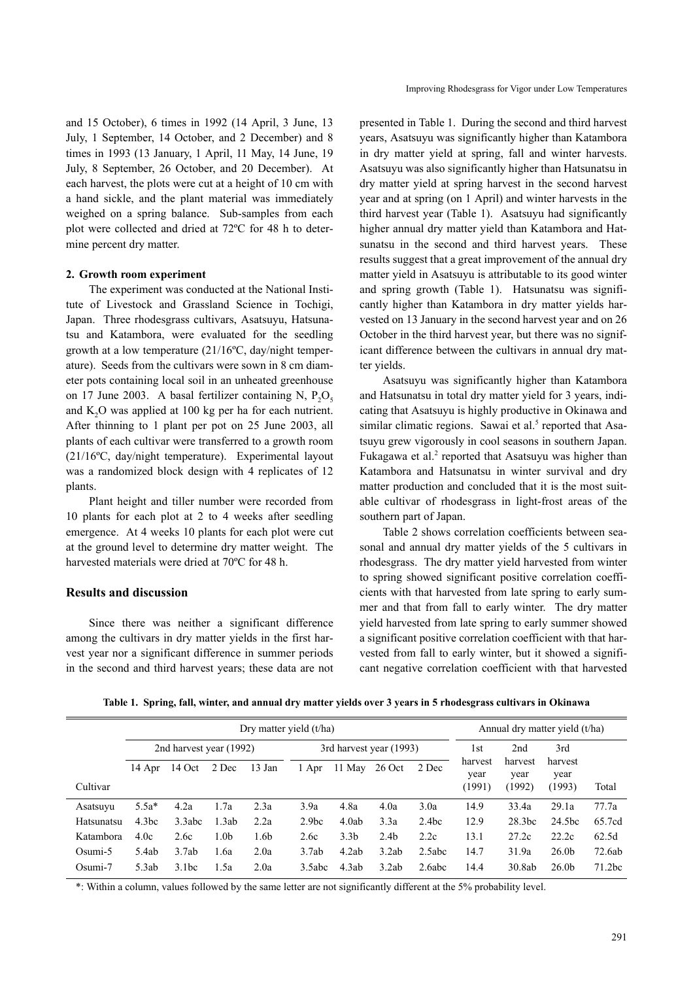and 15 October), 6 times in 1992 (14 April, 3 June, 13 July, 1 September, 14 October, and 2 December) and 8 times in 1993 (13 January, 1 April, 11 May, 14 June, 19 July, 8 September, 26 October, and 20 December). At each harvest, the plots were cut at a height of 10 cm with a hand sickle, and the plant material was immediately weighed on a spring balance. Sub-samples from each plot were collected and dried at 72ºC for 48 h to determine percent dry matter.

#### **2. Growth room experiment**

The experiment was conducted at the National Institute of Livestock and Grassland Science in Tochigi, Japan. Three rhodesgrass cultivars, Asatsuyu, Hatsunatsu and Katambora, were evaluated for the seedling growth at a low temperature (21/16ºC, day/night temperature). Seeds from the cultivars were sown in 8 cm diameter pots containing local soil in an unheated greenhouse on 17 June 2003. A basal fertilizer containing N,  $P_2O_5$ and  $K<sub>2</sub>O$  was applied at 100 kg per ha for each nutrient. After thinning to 1 plant per pot on 25 June 2003, all plants of each cultivar were transferred to a growth room (21/16ºC, day/night temperature). Experimental layout was a randomized block design with 4 replicates of 12 plants.

Plant height and tiller number were recorded from 10 plants for each plot at 2 to 4 weeks after seedling emergence. At 4 weeks 10 plants for each plot were cut at the ground level to determine dry matter weight. The harvested materials were dried at 70ºC for 48 h.

## **Results and discussion**

Since there was neither a significant difference among the cultivars in dry matter yields in the first harvest year nor a significant difference in summer periods in the second and third harvest years; these data are not presented in Table 1. During the second and third harvest years, Asatsuyu was significantly higher than Katambora in dry matter yield at spring, fall and winter harvests. Asatsuyu was also significantly higher than Hatsunatsu in dry matter yield at spring harvest in the second harvest year and at spring (on 1 April) and winter harvests in the third harvest year (Table 1). Asatsuyu had significantly higher annual dry matter yield than Katambora and Hatsunatsu in the second and third harvest years. These results suggest that a great improvement of the annual dry matter yield in Asatsuyu is attributable to its good winter and spring growth (Table 1). Hatsunatsu was significantly higher than Katambora in dry matter yields harvested on 13 January in the second harvest year and on 26 October in the third harvest year, but there was no significant difference between the cultivars in annual dry matter yields.

Asatsuyu was significantly higher than Katambora and Hatsunatsu in total dry matter yield for 3 years, indicating that Asatsuyu is highly productive in Okinawa and similar climatic regions. Sawai et al.<sup>5</sup> reported that Asatsuyu grew vigorously in cool seasons in southern Japan. Fukagawa et al. $2$  reported that Asatsuyu was higher than Katambora and Hatsunatsu in winter survival and dry matter production and concluded that it is the most suitable cultivar of rhodesgrass in light-frost areas of the southern part of Japan.

Table 2 shows correlation coefficients between seasonal and annual dry matter yields of the 5 cultivars in rhodesgrass. The dry matter yield harvested from winter to spring showed significant positive correlation coefficients with that harvested from late spring to early summer and that from fall to early winter. The dry matter yield harvested from late spring to early summer showed a significant positive correlation coefficient with that harvested from fall to early winter, but it showed a significant negative correlation coefficient with that harvested

|  |  |  | Table 1. Spring, fall, winter, and annual dry matter yields over 3 years in 5 rhodesgrass cultivars in Okinawa |
|--|--|--|----------------------------------------------------------------------------------------------------------------|
|  |  |  |                                                                                                                |

|            | Dry matter yield (t/ha) |        |                  |                         |                   |                  |                  | Annual dry matter yield (t/ha) |                           |                           |                           |                    |
|------------|-------------------------|--------|------------------|-------------------------|-------------------|------------------|------------------|--------------------------------|---------------------------|---------------------------|---------------------------|--------------------|
|            | 2nd harvest year (1992) |        |                  | 3rd harvest year (1993) |                   |                  |                  | 1st                            | 2nd                       | 3rd                       |                           |                    |
| Cultivar   | 14 Apr                  | 14 Oct | 2 Dec            | 13 Jan                  | 1 Apr             | 11 May           | $26$ Oct         | 2 Dec                          | harvest<br>year<br>(1991) | harvest<br>year<br>(1992) | harvest<br>year<br>(1993) | Total              |
| Asatsuyu   | $5.5a*$                 | 4.2a   | 1.7a             | 2.3a                    | 3.9a              | 4.8a             | 4.0a             | 3.0a                           | 14.9                      | 33.4a                     | 29.1a                     | 77.7a              |
| Hatsunatsu | 4.3bc                   | 3.3abc | 1.3ab            | 2.2a                    | 2.9 <sub>bc</sub> | 4.0ab            | 3.3a             | 2.4bc                          | 12.9                      | 28.3 <sub>bc</sub>        | 24.5bc                    | 65.7cd             |
| Katambora  | 4.0c                    | 2.6c   | 1.0 <sub>b</sub> | 1.6b                    | 2.6c              | 3.3 <sub>b</sub> | 2.4 <sub>b</sub> | 2.2c                           | 13.1                      | 27.2c                     | 22.2c                     | 62.5d              |
| Osumi-5    | 5.4ab                   | 3.7ab  | 1.6a             | 2.0a                    | 3.7ab             | 4.2ab            | 3.2ab            | 2.5abc                         | 14.7                      | 31.9a                     | 26.0 <sub>b</sub>         | 72.6ab             |
| Osumi-7    | 5.3ab                   | 3.1bc  | 1.5a             | 2.0a                    | 3.5abc            | 4.3ab            | 3.2ab            | 2.6abc                         | 14.4                      | 30.8ab                    | 26.0 <sub>b</sub>         | 71.2 <sub>bc</sub> |

\*: Within a column, values followed by the same letter are not significantly different at the 5% probability level.